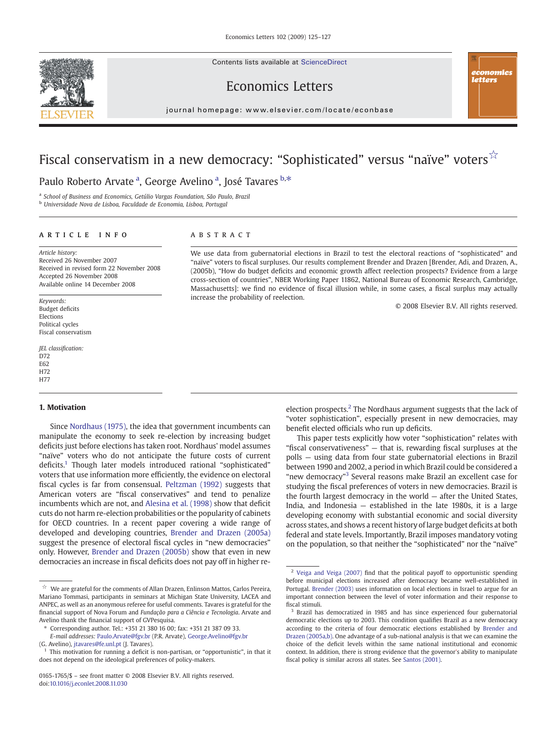Contents lists available at ScienceDirect





## Economics Letters

 $j$  or expression and  $i$  is even if the common order

# Fiscal conservatism in a new democracy: "Sophisticated" versus "naïve" voters<sup>☆</sup>

Paulo Roberto Arvate <sup>a</sup>, George Avelino <sup>a</sup>, José Tavares <sup>b,\*</sup>

<sup>a</sup> School of Business and Economics, Getúlio Vargas Foundation, São Paulo, Brazil

<sup>b</sup> Universidade Nova de Lisboa, Faculdade de Economia, Lisboa, Portugal

#### article info abstract

Article history: Received 26 November 2007 Received in revised form 22 November 2008 Accepted 26 November 2008 Available online 14 December 2008

Keywords: Budget deficits Elections Political cycles Fiscal conservatism

JEL classification: D72 E62 H72 H77

#### 1. Motivation

Since [Nordhaus \(1975\),](#page-2-0) the idea that government incumbents can manipulate the economy to seek re-election by increasing budget deficits just before elections has taken root. Nordhaus' model assumes "naïve" voters who do not anticipate the future costs of current deficits.1 Though later models introduced rational "sophisticated" voters that use information more efficiently, the evidence on electoral fiscal cycles is far from consensual. [Peltzman \(1992\)](#page-2-0) suggests that American voters are "fiscal conservatives" and tend to penalize incumbents which are not, and [Alesina et al. \(1998\)](#page-2-0) show that deficit cuts do not harm re-election probabilities or the popularity of cabinets for OECD countries. In a recent paper covering a wide range of developed and developing countries, [Brender and Drazen \(2005a\)](#page-2-0) suggest the presence of electoral fiscal cycles in "new democracies" only. However, [Brender and Drazen \(2005b\)](#page-2-0) show that even in new democracies an increase in fiscal deficits does not pay off in higher re-

We use data from gubernatorial elections in Brazil to test the electoral reactions of "sophisticated" and "naïve" voters to fiscal surpluses. Our results complement Brender and Drazen [Brender, Adi, and Drazen, A., (2005b), "How do budget deficits and economic growth affect reelection prospects? Evidence from a large cross-section of countries", NBER Working Paper 11862, National Bureau of Economic Research, Cambridge, Massachusetts]: we find no evidence of fiscal illusion while, in some cases, a fiscal surplus may actually increase the probability of reelection.

© 2008 Elsevier B.V. All rights reserved.

election prospects.<sup>2</sup> The Nordhaus argument suggests that the lack of "voter sophistication", especially present in new democracies, may benefit elected officials who run up deficits.

This paper tests explicitly how voter "sophistication" relates with "fiscal conservativeness" — that is, rewarding fiscal surpluses at the polls — using data from four state gubernatorial elections in Brazil between 1990 and 2002, a period in which Brazil could be considered a "new democracy"<sup>3</sup> Several reasons make Brazil an excellent case for studying the fiscal preferences of voters in new democracies. Brazil is the fourth largest democracy in the world — after the United States, India, and Indonesia — established in the late 1980s, it is a large developing economy with substantial economic and social diversity across states, and shows a recent history of large budget deficits at both federal and state levels. Importantly, Brazil imposes mandatory voting on the population, so that neither the "sophisticated" nor the "naïve"

 $\overrightarrow{\mathbb{X}}$  We are grateful for the comments of Allan Drazen, Enlinson Mattos, Carlos Pereira, Mariano Tommasi, participants in seminars at Michigan State University, LACEA and ANPEC, as well as an anonymous referee for useful comments. Tavares is grateful for the financial support of Nova Forum and Fundação para a Ciência e Tecnologia. Arvate and Avelino thank the financial support of GVPesquisa.

<sup>⁎</sup> Corresponding author. Tel.: +351 21 380 16 00; fax: +351 21 387 09 33.

E-mail addresses: [Paulo.Arvate@fgv.br](mailto:Paulo.Arvate@fgv.br) (P.R. Arvate), [George.Avelino@fgv.br](mailto:George.Avelino@fgv.br) (G. Avelino), [jtavares@fe.unl.pt](mailto:jtavares@fe.unl.pt) (J. Tavares).

<sup>&</sup>lt;sup>1</sup> This motivation for running a deficit is non-partisan, or "opportunistic", in that it does not depend on the ideological preferences of policy-makers.

<sup>0165-1765/\$</sup> – see front matter © 2008 Elsevier B.V. All rights reserved. doi:[10.1016/j.econlet.2008.11.030](http://dx.doi.org/10.1016/j.econlet.2008.11.030)

<sup>&</sup>lt;sup>2</sup> [Veiga and Veiga \(2007\)](#page-2-0) find that the political payoff to opportunistic spending before municipal elections increased after democracy became well-established in Portugal. [Brender \(2003\)](#page-2-0) uses information on local elections in Israel to argue for an important connection between the level of voter information and their response to fiscal stimuli.

<sup>&</sup>lt;sup>3</sup> Brazil has democratized in 1985 and has since experienced four gubernatorial democratic elections up to 2003. This condition qualifies Brazil as a new democracy according to the criteria of four democratic elections established by [Brender and](#page-2-0) [Drazen \(2005a,b\).](#page-2-0) One advantage of a sub-national analysis is that we can examine the choice of the deficit levels within the same national institutional and economic context. In addition, there is strong evidence that the governor's ability to manipulate fiscal policy is similar across all states. See [Santos \(2001\)](#page-2-0).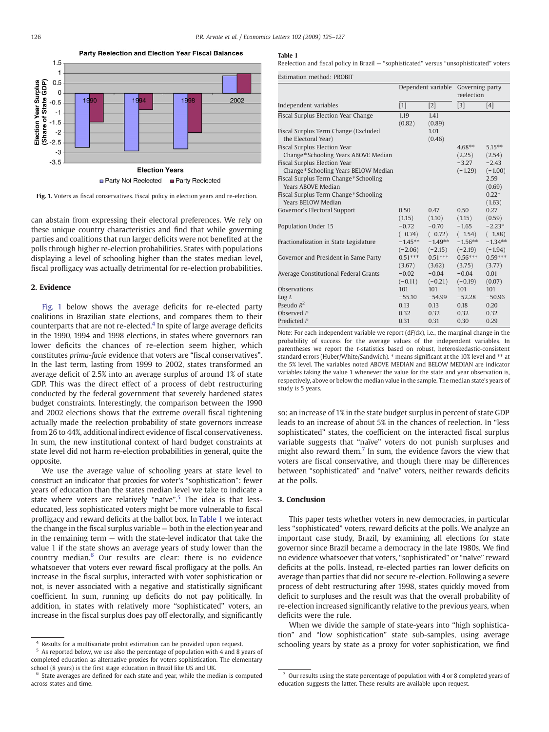

Fig. 1. Voters as fiscal conservatives. Fiscal policy in election years and re-election.

can abstain from expressing their electoral preferences. We rely on these unique country characteristics and find that while governing parties and coalitions that run larger deficits were not benefited at the polls through higher re-election probabilities. States with populations displaying a level of schooling higher than the states median level, fiscal profligacy was actually detrimental for re-election probabilities.

#### 2. Evidence

Fig. 1 below shows the average deficits for re-elected party coalitions in Brazilian state elections, and compares them to their counterparts that are not re-elected.<sup>4</sup> In spite of large average deficits in the 1990, 1994 and 1998 elections, in states where governors ran lower deficits the chances of re-election seem higher, which constitutes prima-facie evidence that voters are "fiscal conservatives". In the last term, lasting from 1999 to 2002, states transformed an average deficit of 2.5% into an average surplus of around 1% of state GDP. This was the direct effect of a process of debt restructuring conducted by the federal government that severely hardened states budget constraints. Interestingly, the comparison between the 1990 and 2002 elections shows that the extreme overall fiscal tightening actually made the reelection probability of state governors increase from 26 to 44%, additional indirect evidence of fiscal conservativeness. In sum, the new institutional context of hard budget constraints at state level did not harm re-election probabilities in general, quite the opposite.

We use the average value of schooling years at state level to construct an indicator that proxies for voter's "sophistication": fewer years of education than the states median level we take to indicate a state where voters are relatively "naïve".<sup>5</sup> The idea is that lesseducated, less sophisticated voters might be more vulnerable to fiscal profligacy and reward deficits at the ballot box. In Table 1 we interact the change in the fiscal surplus variable — both in the election year and in the remaining term — with the state-level indicator that take the value 1 if the state shows an average years of study lower than the country median.<sup>6</sup> Our results are clear: there is no evidence whatsoever that voters ever reward fiscal profligacy at the polls. An increase in the fiscal surplus, interacted with voter sophistication or not, is never associated with a negative and statistically significant coefficient. In sum, running up deficits do not pay politically. In addition, in states with relatively more "sophisticated" voters, an increase in the fiscal surplus does pay off electorally, and significantly

<sup>5</sup> As reported below, we use also the percentage of population with 4 and 8 years of completed education as alternative proxies for voters sophistication. The elementary school (8 years) is the first stage education in Brazil like US and UK.

#### Table 1

Reelection and fiscal policy in Brazil — "sophisticated" versus "unsophisticated" voters

| Estimation method: PROBIT                                                                                  |                        |                                  |                               |                                |  |  |  |  |
|------------------------------------------------------------------------------------------------------------|------------------------|----------------------------------|-------------------------------|--------------------------------|--|--|--|--|
|                                                                                                            | Dependent variable     |                                  | Governing party<br>reelection |                                |  |  |  |  |
| Independent variables                                                                                      | $[1]$                  | $[2]$                            | $[3]$                         | [4]                            |  |  |  |  |
| Fiscal Surplus Election Year Change<br>Fiscal Surplus Term Change (Excluded<br>the Electoral Year)         | 1.19<br>(0.82)         | 1.41<br>(0.89)<br>1.01<br>(0.46) |                               |                                |  |  |  |  |
| Fiscal Surplus Election Year<br>Change*Schooling Years ABOVE Median<br><b>Fiscal Surplus Election Year</b> |                        |                                  | $4.68**$<br>(2.25)<br>$-3.27$ | $5.15***$<br>(2.54)<br>$-2.43$ |  |  |  |  |
| Change*Schooling Years BELOW Median<br>Fiscal Surplus Term Change*Schooling<br>Years ABOVE Median          |                        |                                  | $(-1.29)$                     | $(-1.00)$<br>2.59<br>(0.69)    |  |  |  |  |
| Fiscal Surplus Term Change*Schooling<br>Years BELOW Median                                                 |                        |                                  |                               | $0.22*$<br>(1.63)              |  |  |  |  |
| Governor's Electoral Support                                                                               | 0.50<br>(1.15)         | 0.47<br>(1.10)                   | 0.50<br>(1.15)                | 0.27<br>(0.59)                 |  |  |  |  |
| <b>Population Under 15</b>                                                                                 | $-0.72$<br>$(-0.74)$   | $-0.70$<br>$(-0.72)$             | $-1.65$<br>$(-1.54)$          | $-2.23*$<br>$(-1.88)$          |  |  |  |  |
| Fractionalization in State Legislature                                                                     | $-1.45**$<br>$(-2.06)$ | $-1.49**$<br>$(-2.15)$           | $-1.56**$<br>$(-2.19)$        | $-1.34**$<br>$(-1.94)$         |  |  |  |  |
| Governor and President in Same Party                                                                       | $0.51***$<br>(3.67)    | $0.51***$<br>(3.62)              | $0.56***$<br>(3.75)           | $0.59***$<br>(3.77)            |  |  |  |  |
| Average Constitutional Federal Grants                                                                      | $-0.02$<br>$(-0.11)$   | $-0.04$<br>$(-0.21)$             | $-0.04$<br>$(-0.19)$          | 0.01<br>(0.07)                 |  |  |  |  |
| <b>Observations</b>                                                                                        | 101                    | 101                              | 101                           | 101                            |  |  |  |  |
| Log L                                                                                                      | $-55.10$               | $-54.99$                         | $-52.28$                      | $-50.96$                       |  |  |  |  |
| Pseudo $R^2$                                                                                               | 0.13                   | 0.13                             | 0.18                          | 0.20                           |  |  |  |  |
| Observed P                                                                                                 | 0.32                   | 0.32                             | 0.32                          | 0.32                           |  |  |  |  |
| Predicted P                                                                                                | 0.31                   | 0.31                             | 0.30                          | 0.29                           |  |  |  |  |

Note: For each independent variable we report  $(dF/dx)$ , i.e., the marginal change in the probability of success for the average values of the independent variables. In parentheses we report the t-statistics based on robust, heteroskedastic-consistent standard errors (Huber/White/Sandwich). <sup>\*</sup> means significant at the 10% level and <sup>\*\*</sup> at the 5% level. The variables noted ABOVE MEDIAN and BELOW MEDIAN are indicator variables taking the value 1 whenever the value for the state and year observation is, respectively, above or below the median value in the sample. The median state's years of study is 5 years.

so: an increase of 1% in the state budget surplus in percent of state GDP leads to an increase of about 5% in the chances of reelection. In "less sophisticated" states, the coefficient on the interacted fiscal surplus variable suggests that "naïve" voters do not punish surpluses and might also reward them.<sup>7</sup> In sum, the evidence favors the view that voters are fiscal conservative, and though there may be differences between "sophisticated" and "naïve" voters, neither rewards deficits at the polls.

#### 3. Conclusion

This paper tests whether voters in new democracies, in particular less "sophisticated" voters, reward deficits at the polls. We analyze an important case study, Brazil, by examining all elections for state governor since Brazil became a democracy in the late 1980s. We find no evidence whatsoever that voters, "sophisticated" or "naïve" reward deficits at the polls. Instead, re-elected parties ran lower deficits on average than parties that did not secure re-election. Following a severe process of debt restructuring after 1998, states quickly moved from deficit to surpluses and the result was that the overall probability of re-election increased significantly relative to the previous years, when deficits were the rule.

When we divide the sample of state-years into "high sophistication" and "low sophistication" state sub-samples, using average schooling years by state as a proxy for voter sophistication, we find

<sup>4</sup> Results for a multivariate probit estimation can be provided upon request.

 $6$  State averages are defined for each state and year, while the median is computed across states and time.

 $7$  Our results using the state percentage of population with 4 or 8 completed years of education suggests the latter. These results are available upon request.